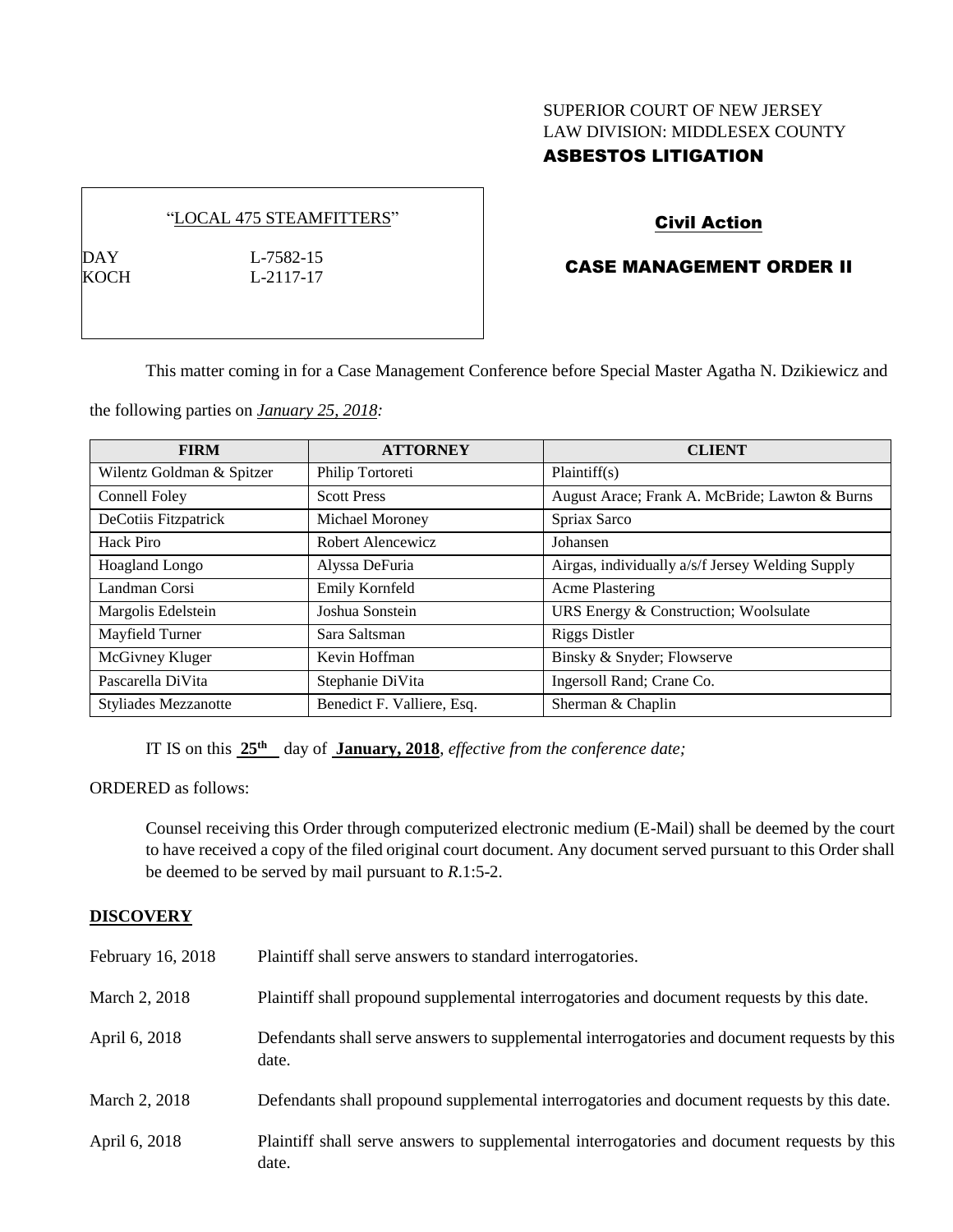## SUPERIOR COURT OF NEW JERSEY LAW DIVISION: MIDDLESEX COUNTY ASBESTOS LITIGATION

#### "LOCAL 475 STEAMFITTERS"

DAY L-7582-15 KOCH L-2117-17

# Civil Action

# CASE MANAGEMENT ORDER II

This matter coming in for a Case Management Conference before Special Master Agatha N. Dzikiewicz and

the following parties on *January 25, 2018:*

| <b>FIRM</b>                 | <b>ATTORNEY</b>            | <b>CLIENT</b>                                    |
|-----------------------------|----------------------------|--------------------------------------------------|
| Wilentz Goldman & Spitzer   | Philip Tortoreti           | Plaintiff(s)                                     |
| Connell Foley               | <b>Scott Press</b>         | August Arace; Frank A. McBride; Lawton & Burns   |
| DeCotiis Fitzpatrick        | Michael Moroney            | Spriax Sarco                                     |
| Hack Piro                   | Robert Alencewicz          | Johansen                                         |
| <b>Hoagland Longo</b>       | Alyssa DeFuria             | Airgas, individually a/s/f Jersey Welding Supply |
| Landman Corsi               | Emily Kornfeld             | <b>Acme Plastering</b>                           |
| Margolis Edelstein          | Joshua Sonstein            | URS Energy & Construction; Woolsulate            |
| Mayfield Turner             | Sara Saltsman              | <b>Riggs Distler</b>                             |
| McGivney Kluger             | Kevin Hoffman              | Binsky & Snyder; Flowserve                       |
| Pascarella DiVita           | Stephanie DiVita           | Ingersoll Rand; Crane Co.                        |
| <b>Styliades Mezzanotte</b> | Benedict F. Valliere, Esq. | Sherman & Chaplin                                |

IT IS on this **25th** day of **January, 2018**, *effective from the conference date;*

ORDERED as follows:

Counsel receiving this Order through computerized electronic medium (E-Mail) shall be deemed by the court to have received a copy of the filed original court document. Any document served pursuant to this Order shall be deemed to be served by mail pursuant to *R*.1:5-2.

## **DISCOVERY**

| February 16, 2018 | Plaintiff shall serve answers to standard interrogatories.                                            |
|-------------------|-------------------------------------------------------------------------------------------------------|
| March 2, 2018     | Plaintiff shall propound supplemental interrogatories and document requests by this date.             |
| April 6, 2018     | Defendants shall serve answers to supplemental interrogatories and document requests by this<br>date. |
| March 2, 2018     | Defendants shall propound supplemental interrogatories and document requests by this date.            |
| April 6, 2018     | Plaintiff shall serve answers to supplemental interrogatories and document requests by this<br>date.  |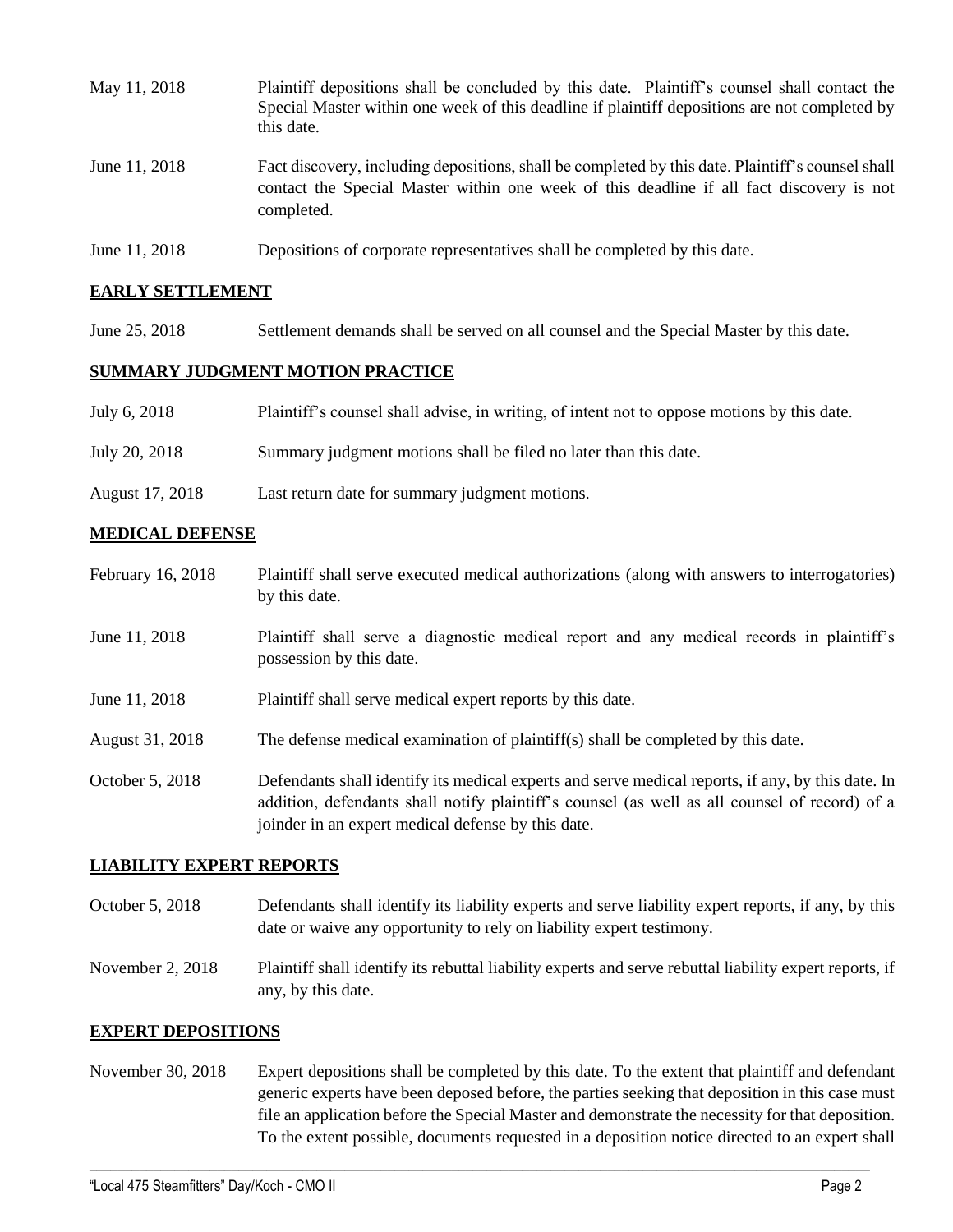| May 11, 2018  | Plaintiff depositions shall be concluded by this date. Plaintiff's counsel shall contact the<br>Special Master within one week of this deadline if plaintiff depositions are not completed by<br>this date. |  |
|---------------|-------------------------------------------------------------------------------------------------------------------------------------------------------------------------------------------------------------|--|
| June 11, 2018 | Fact discovery, including depositions, shall be completed by this date. Plaintiff's counsel shall<br>contact the Special Master within one week of this deadline if all fact discovery is not<br>completed. |  |
| June 11, 2018 | Depositions of corporate representatives shall be completed by this date.                                                                                                                                   |  |

## **EARLY SETTLEMENT**

June 25, 2018 Settlement demands shall be served on all counsel and the Special Master by this date.

#### **SUMMARY JUDGMENT MOTION PRACTICE**

| July 6, 2018    | Plaintiff's counsel shall advise, in writing, of intent not to oppose motions by this date. |
|-----------------|---------------------------------------------------------------------------------------------|
| July 20, 2018   | Summary judgment motions shall be filed no later than this date.                            |
| August 17, 2018 | Last return date for summary judgment motions.                                              |

## **MEDICAL DEFENSE**

- February 16, 2018 Plaintiff shall serve executed medical authorizations (along with answers to interrogatories) by this date.
- June 11, 2018 Plaintiff shall serve a diagnostic medical report and any medical records in plaintiff's possession by this date.
- June 11, 2018 Plaintiff shall serve medical expert reports by this date.
- August 31, 2018 The defense medical examination of plaintiff(s) shall be completed by this date.
- October 5, 2018 Defendants shall identify its medical experts and serve medical reports, if any, by this date. In addition, defendants shall notify plaintiff's counsel (as well as all counsel of record) of a joinder in an expert medical defense by this date.

## **LIABILITY EXPERT REPORTS**

- October 5, 2018 Defendants shall identify its liability experts and serve liability expert reports, if any, by this date or waive any opportunity to rely on liability expert testimony.
- November 2, 2018 Plaintiff shall identify its rebuttal liability experts and serve rebuttal liability expert reports, if any, by this date.

#### **EXPERT DEPOSITIONS**

November 30, 2018 Expert depositions shall be completed by this date. To the extent that plaintiff and defendant generic experts have been deposed before, the parties seeking that deposition in this case must file an application before the Special Master and demonstrate the necessity for that deposition. To the extent possible, documents requested in a deposition notice directed to an expert shall

 $\_$  ,  $\_$  ,  $\_$  ,  $\_$  ,  $\_$  ,  $\_$  ,  $\_$  ,  $\_$  ,  $\_$  ,  $\_$  ,  $\_$  ,  $\_$  ,  $\_$  ,  $\_$  ,  $\_$  ,  $\_$  ,  $\_$  ,  $\_$  ,  $\_$  ,  $\_$  ,  $\_$  ,  $\_$  ,  $\_$  ,  $\_$  ,  $\_$  ,  $\_$  ,  $\_$  ,  $\_$  ,  $\_$  ,  $\_$  ,  $\_$  ,  $\_$  ,  $\_$  ,  $\_$  ,  $\_$  ,  $\_$  ,  $\_$  ,